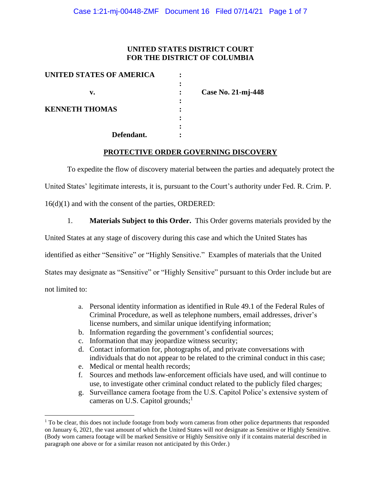## **UNITED STATES DISTRICT COURT FOR THE DISTRICT OF COLUMBIA**

| UNITED STATES OF AMERICA |                    |
|--------------------------|--------------------|
|                          |                    |
| v.                       | Case No. 21-mj-448 |
|                          |                    |
| <b>KENNETH THOMAS</b>    |                    |
|                          |                    |
|                          |                    |
| Defendant.               |                    |

#### **PROTECTIVE ORDER GOVERNING DISCOVERY**

To expedite the flow of discovery material between the parties and adequately protect the

United States' legitimate interests, it is, pursuant to the Court's authority under Fed. R. Crim. P.

16(d)(1) and with the consent of the parties, ORDERED:

1. **Materials Subject to this Order.** This Order governs materials provided by the

United States at any stage of discovery during this case and which the United States has

identified as either "Sensitive" or "Highly Sensitive." Examples of materials that the United

States may designate as "Sensitive" or "Highly Sensitive" pursuant to this Order include but are

not limited to:

- a. Personal identity information as identified in Rule 49.1 of the Federal Rules of Criminal Procedure, as well as telephone numbers, email addresses, driver's license numbers, and similar unique identifying information;
- b. Information regarding the government's confidential sources;
- c. Information that may jeopardize witness security;
- d. Contact information for, photographs of, and private conversations with individuals that do not appear to be related to the criminal conduct in this case;
- e. Medical or mental health records;
- f. Sources and methods law-enforcement officials have used, and will continue to use, to investigate other criminal conduct related to the publicly filed charges;
- g. Surveillance camera footage from the U.S. Capitol Police's extensive system of cameras on U.S. Capitol grounds;<sup>1</sup>

 $<sup>1</sup>$  To be clear, this does not include footage from body worn cameras from other police departments that responded</sup> on January 6, 2021, the vast amount of which the United States will *not* designate as Sensitive or Highly Sensitive. (Body worn camera footage will be marked Sensitive or Highly Sensitive only if it contains material described in paragraph one above or for a similar reason not anticipated by this Order.)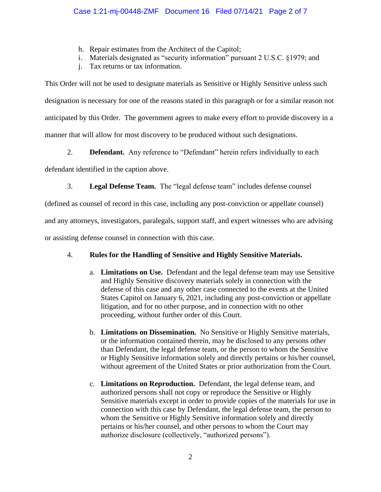- h. Repair estimates from the Architect of the Capitol;
- i. Materials designated as "security information" pursuant 2 U.S.C. §1979; and
- j. Tax returns or tax information.

This Order will not be used to designate materials as Sensitive or Highly Sensitive unless such designation is necessary for one of the reasons stated in this paragraph or for a similar reason not anticipated by this Order. The government agrees to make every effort to provide discovery in a manner that will allow for most discovery to be produced without such designations.

2. **Defendant.** Any reference to "Defendant" herein refers individually to each

defendant identified in the caption above.

3. **Legal Defense Team.** The "legal defense team" includes defense counsel

(defined as counsel of record in this case, including any post-conviction or appellate counsel)

and any attorneys, investigators, paralegals, support staff, and expert witnesses who are advising

or assisting defense counsel in connection with this case.

# 4. **Rules for the Handling of Sensitive and Highly Sensitive Materials.**

- a. **Limitations on Use.** Defendant and the legal defense team may use Sensitive and Highly Sensitive discovery materials solely in connection with the defense of this case and any other case connected to the events at the United States Capitol on January 6, 2021, including any post-conviction or appellate litigation, and for no other purpose, and in connection with no other proceeding, without further order of this Court.
- b. **Limitations on Dissemination.** No Sensitive or Highly Sensitive materials, or the information contained therein, may be disclosed to any persons other than Defendant, the legal defense team, or the person to whom the Sensitive or Highly Sensitive information solely and directly pertains or his/her counsel, without agreement of the United States or prior authorization from the Court.
- c. **Limitations on Reproduction.** Defendant, the legal defense team, and authorized persons shall not copy or reproduce the Sensitive or Highly Sensitive materials except in order to provide copies of the materials for use in connection with this case by Defendant, the legal defense team, the person to whom the Sensitive or Highly Sensitive information solely and directly pertains or his/her counsel, and other persons to whom the Court may authorize disclosure (collectively, "authorized persons").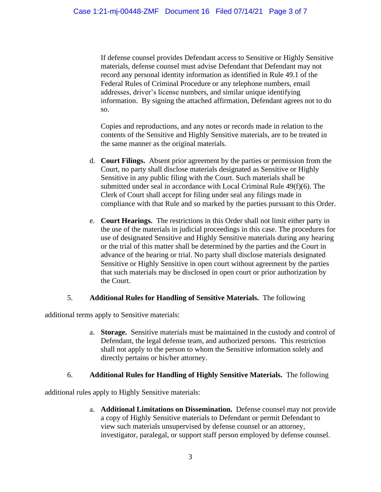If defense counsel provides Defendant access to Sensitive or Highly Sensitive materials, defense counsel must advise Defendant that Defendant may not record any personal identity information as identified in Rule 49.1 of the Federal Rules of Criminal Procedure or any telephone numbers, email addresses, driver's license numbers, and similar unique identifying information. By signing the attached affirmation, Defendant agrees not to do so.

Copies and reproductions, and any notes or records made in relation to the contents of the Sensitive and Highly Sensitive materials, are to be treated in the same manner as the original materials.

- d. **Court Filings.** Absent prior agreement by the parties or permission from the Court, no party shall disclose materials designated as Sensitive or Highly Sensitive in any public filing with the Court. Such materials shall be submitted under seal in accordance with Local Criminal Rule 49(f)(6). The Clerk of Court shall accept for filing under seal any filings made in compliance with that Rule and so marked by the parties pursuant to this Order.
- e. **Court Hearings.** The restrictions in this Order shall not limit either party in the use of the materials in judicial proceedings in this case. The procedures for use of designated Sensitive and Highly Sensitive materials during any hearing or the trial of this matter shall be determined by the parties and the Court in advance of the hearing or trial. No party shall disclose materials designated Sensitive or Highly Sensitive in open court without agreement by the parties that such materials may be disclosed in open court or prior authorization by the Court.

#### 5. **Additional Rules for Handling of Sensitive Materials.** The following

additional terms apply to Sensitive materials:

a. **Storage.** Sensitive materials must be maintained in the custody and control of Defendant, the legal defense team, and authorized persons. This restriction shall not apply to the person to whom the Sensitive information solely and directly pertains or his/her attorney.

#### 6. **Additional Rules for Handling of Highly Sensitive Materials.** The following

additional rules apply to Highly Sensitive materials:

a. **Additional Limitations on Dissemination.** Defense counsel may not provide a copy of Highly Sensitive materials to Defendant or permit Defendant to view such materials unsupervised by defense counsel or an attorney, investigator, paralegal, or support staff person employed by defense counsel.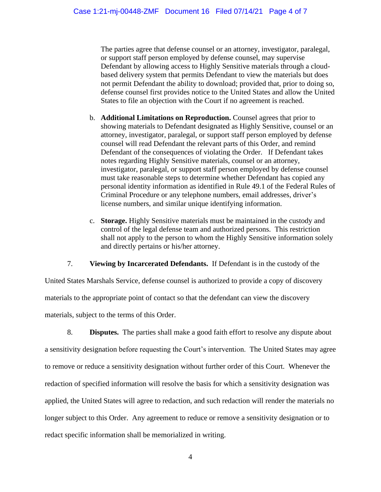The parties agree that defense counsel or an attorney, investigator, paralegal, or support staff person employed by defense counsel, may supervise Defendant by allowing access to Highly Sensitive materials through a cloudbased delivery system that permits Defendant to view the materials but does not permit Defendant the ability to download; provided that, prior to doing so, defense counsel first provides notice to the United States and allow the United States to file an objection with the Court if no agreement is reached.

- b. **Additional Limitations on Reproduction.** Counsel agrees that prior to showing materials to Defendant designated as Highly Sensitive, counsel or an attorney, investigator, paralegal, or support staff person employed by defense counsel will read Defendant the relevant parts of this Order, and remind Defendant of the consequences of violating the Order. If Defendant takes notes regarding Highly Sensitive materials, counsel or an attorney, investigator, paralegal, or support staff person employed by defense counsel must take reasonable steps to determine whether Defendant has copied any personal identity information as identified in Rule 49.1 of the Federal Rules of Criminal Procedure or any telephone numbers, email addresses, driver's license numbers, and similar unique identifying information.
- c. **Storage.** Highly Sensitive materials must be maintained in the custody and control of the legal defense team and authorized persons. This restriction shall not apply to the person to whom the Highly Sensitive information solely and directly pertains or his/her attorney.

7. **Viewing by Incarcerated Defendants.** If Defendant is in the custody of the

United States Marshals Service, defense counsel is authorized to provide a copy of discovery materials to the appropriate point of contact so that the defendant can view the discovery materials, subject to the terms of this Order.

8. **Disputes.** The parties shall make a good faith effort to resolve any dispute about a sensitivity designation before requesting the Court's intervention. The United States may agree to remove or reduce a sensitivity designation without further order of this Court. Whenever the redaction of specified information will resolve the basis for which a sensitivity designation was applied, the United States will agree to redaction, and such redaction will render the materials no longer subject to this Order. Any agreement to reduce or remove a sensitivity designation or to redact specific information shall be memorialized in writing.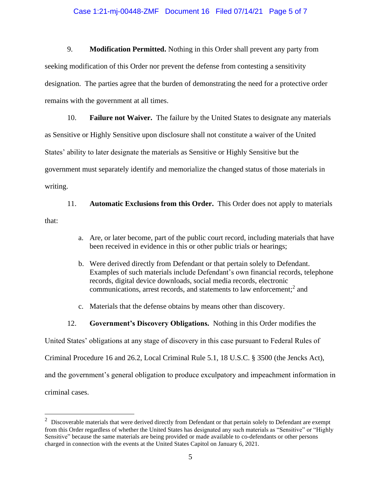#### Case 1:21-mj-00448-ZMF Document 16 Filed 07/14/21 Page 5 of 7

9. **Modification Permitted.** Nothing in this Order shall prevent any party from seeking modification of this Order nor prevent the defense from contesting a sensitivity designation. The parties agree that the burden of demonstrating the need for a protective order remains with the government at all times.

10. **Failure not Waiver.** The failure by the United States to designate any materials as Sensitive or Highly Sensitive upon disclosure shall not constitute a waiver of the United States' ability to later designate the materials as Sensitive or Highly Sensitive but the government must separately identify and memorialize the changed status of those materials in writing.

11. **Automatic Exclusions from this Order.** This Order does not apply to materials that:

- a. Are, or later become, part of the public court record, including materials that have been received in evidence in this or other public trials or hearings;
- b. Were derived directly from Defendant or that pertain solely to Defendant. Examples of such materials include Defendant's own financial records, telephone records, digital device downloads, social media records, electronic communications, arrest records, and statements to law enforcement; 2 and
- c. Materials that the defense obtains by means other than discovery.
- 12. **Government's Discovery Obligations.** Nothing in this Order modifies the

United States' obligations at any stage of discovery in this case pursuant to Federal Rules of

Criminal Procedure 16 and 26.2, Local Criminal Rule 5.1, 18 U.S.C. § 3500 (the Jencks Act),

and the government's general obligation to produce exculpatory and impeachment information in

criminal cases.

 $2$  Discoverable materials that were derived directly from Defendant or that pertain solely to Defendant are exempt from this Order regardless of whether the United States has designated any such materials as "Sensitive" or "Highly Sensitive" because the same materials are being provided or made available to co-defendants or other persons charged in connection with the events at the United States Capitol on January 6, 2021.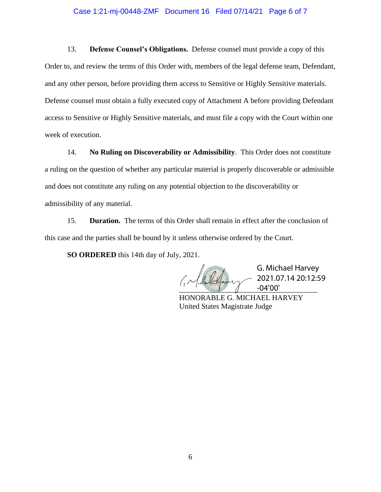#### Case 1:21-mj-00448-ZMF Document 16 Filed 07/14/21 Page 6 of 7

13. **Defense Counsel's Obligations.** Defense counsel must provide a copy of this Order to, and review the terms of this Order with, members of the legal defense team, Defendant, and any other person, before providing them access to Sensitive or Highly Sensitive materials. Defense counsel must obtain a fully executed copy of Attachment A before providing Defendant access to Sensitive or Highly Sensitive materials, and must file a copy with the Court within one week of execution.

14. **No Ruling on Discoverability or Admissibility**. This Order does not constitute a ruling on the question of whether any particular material is properly discoverable or admissible and does not constitute any ruling on any potential objection to the discoverability or admissibility of any material.

15. **Duration.** The terms of this Order shall remain in effect after the conclusion of this case and the parties shall be bound by it unless otherwise ordered by the Court.

**SO ORDERED** this 14th day of July, 2021.

 $\sqrt{1 - 04'00'}$ 

G. Michael Harvey 2021.07.14 20:12:59

HONORABLE G. MICHAEL HARVEY United States Magistrate Judge